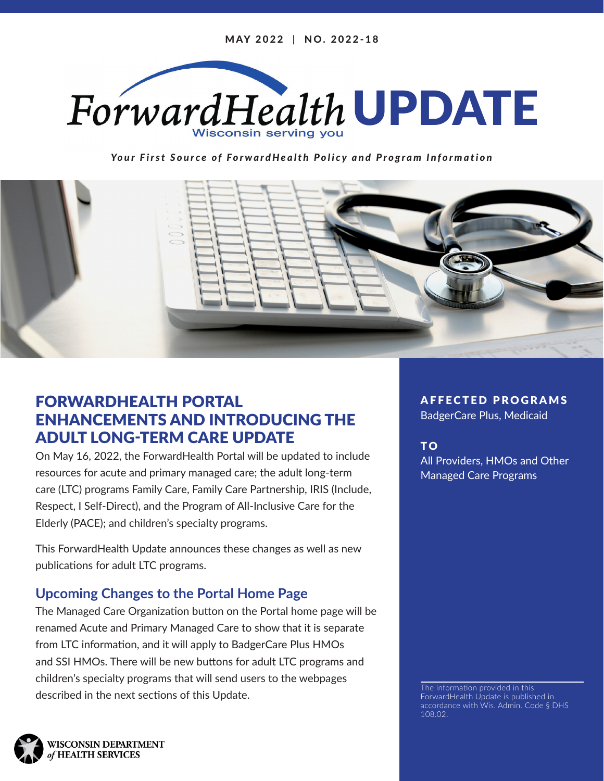

*Your First Source of ForwardHealth Policy and Program Information*



# FORWARDHEALTH PORTAL ENHANCEMENTS AND INTRODUCING THE ADULT LONG-TERM CARE UPDATE

On May 16, 2022, the ForwardHealth Portal will be updated to include resources for acute and primary managed care; the adult long-term care (LTC) programs Family Care, Family Care Partnership, IRIS (Include, Respect, I Self-Direct), and the Program of All-Inclusive Care for the Elderly (PACE); and children's specialty programs.

This ForwardHealth Update announces these changes as well as new publications for adult LTC programs.

## **Upcoming Changes to the Portal Home Page**

The Managed Care Organization button on the Portal home page will be renamed Acute and Primary Managed Care to show that it is separate from LTC information, and it will apply to BadgerCare Plus HMOs and SSI HMOs. There will be new buttons for adult LTC programs and children's specialty programs that will send users to the webpages described in the next sections of this Update.

AFFECTED PROGRAMS

BadgerCare Plus, Medicaid

T O All Providers, HMOs and Other Managed Care Programs

The information provided in this ForwardHealth Update is published in accordance with Wis. Admin. Code § DHS 108.02.

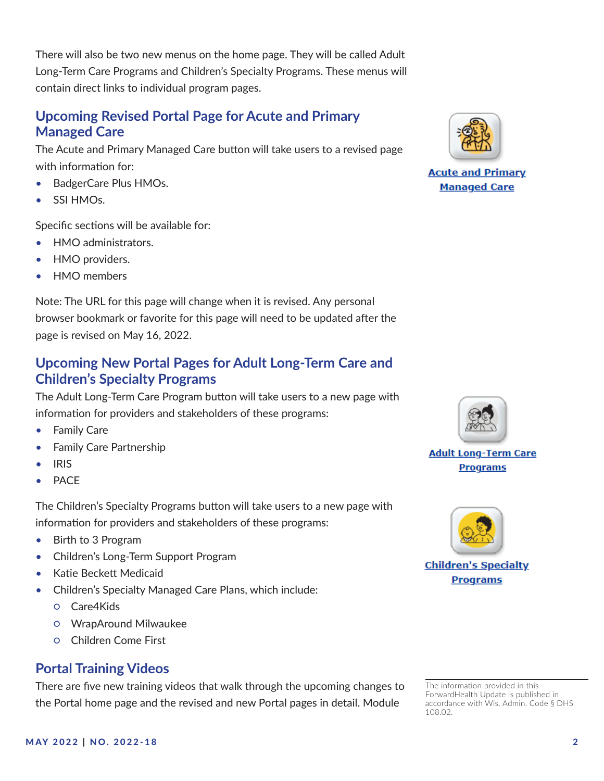There will also be two new menus on the home page. They will be called Adult Long-Term Care Programs and Children's Specialty Programs. These menus will contain direct links to individual program pages.

#### **Upcoming Revised Portal Page for Acute and Primary Managed Care**

The Acute and Primary Managed Care button will take users to a revised page with information for:

- BadgerCare Plus HMOs.
- SSI HMO<sub>s</sub>.

Specific sections will be available for:

- HMO administrators.
- HMO providers.
- HMO members

Note: The URL for this page will change when it is revised. Any personal browser bookmark or favorite for this page will need to be updated after the page is revised on May 16, 2022.

#### **Upcoming New Portal Pages for Adult Long-Term Care and Children's Specialty Programs**

The Adult Long-Term Care Program button will take users to a new page with information for providers and stakeholders of these programs:

- Family Care
- Family Care Partnership
- IRIS
- **PACE**

The Children's Specialty Programs button will take users to a new page with information for providers and stakeholders of these programs:

- Birth to 3 Program
- Children's Long-Term Support Program
- Katie Beckett Medicaid
- Children's Specialty Managed Care Plans, which include:
	- Care4Kids
	- WrapAround Milwaukee
	- Children Come First

### **Portal Training Videos**

There are five new training videos that walk through the upcoming changes to the Portal home page and the revised and new Portal pages in detail. Module



**Acute and Primary Managed Care** 



**Adult Long-Term Care Programs** 



**Children's Specialty Programs** 

The information provided in this ForwardHealth Update is published in accordance with Wis. Admin. Code § DHS

108.02.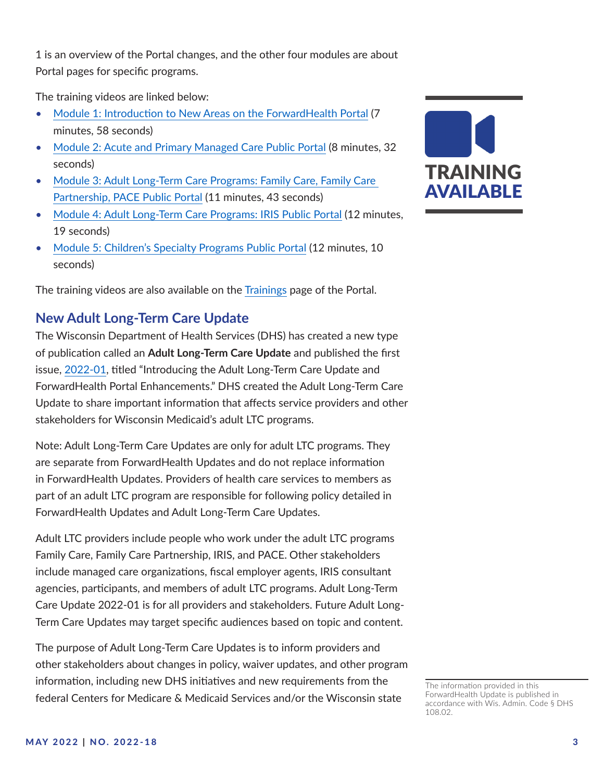1 is an overview of the Portal changes, and the other four modules are about Portal pages for specific programs.

The training videos are linked below:

- [Module 1: Introduction to New Areas on the ForwardHealth Portal](https://www.forwardhealth.wi.gov/WIPortalSC/StaticContent/Provider/Training/public_portal_trainings/video_1.html) (7 minutes, 58 seconds)
- [Module 2: Acute and Primary Managed Care Public Portal](https://www.forwardhealth.wi.gov/WIPortalSC/StaticContent/Provider/Training/public_portal_trainings/video_2.html) (8 minutes, 32 seconds)
- Module 3: Adult Long-Term Care Programs: Family Care, Family Care [Partnership, PACE Public Portal](https://www.forwardhealth.wi.gov/WIPortalSC/StaticContent/Provider/Training/public_portal_trainings/video_3.html) (11 minutes, 43 seconds)
- [Module 4: Adult Long-Term Care Programs: IRIS Public Portal](https://www.forwardhealth.wi.gov/WIPortalSC/StaticContent/Provider/Training/public_portal_trainings/video_4.html) (12 minutes, 19 seconds)
- [Module 5: Children's Specialty Programs Public Portal](https://www.forwardhealth.wi.gov/WIPortalSC/StaticContent/Provider/Training/public_portal_trainings/video_5.html) (12 minutes, 10 seconds)

The training videos are also available on the [Trainings](https://www.forwardhealth.wi.gov/WIPortal/content/provider/training/TrainingHome.htm.spage) page of the Portal.

#### **New Adult Long-Term Care Update**

The Wisconsin Department of Health Services (DHS) has created a new type of publication called an **Adult Long-Term Care Update** and published the first issue, [2022-01](https://www.forwardhealth.wi.gov/kw/pdf/2022-01_01.pdf), titled "Introducing the Adult Long-Term Care Update and ForwardHealth Portal Enhancements." DHS created the Adult Long-Term Care Update to share important information that affects service providers and other stakeholders for Wisconsin Medicaid's adult LTC programs.

Note: Adult Long-Term Care Updates are only for adult LTC programs. They are separate from ForwardHealth Updates and do not replace information in ForwardHealth Updates. Providers of health care services to members as part of an adult LTC program are responsible for following policy detailed in ForwardHealth Updates and Adult Long-Term Care Updates.

Adult LTC providers include people who work under the adult LTC programs Family Care, Family Care Partnership, IRIS, and PACE. Other stakeholders include managed care organizations, fiscal employer agents, IRIS consultant agencies, participants, and members of adult LTC programs. Adult Long-Term Care Update 2022-01 is for all providers and stakeholders. Future Adult Long-Term Care Updates may target specific audiences based on topic and content.

The purpose of Adult Long-Term Care Updates is to inform providers and other stakeholders about changes in policy, waiver updates, and other program information, including new DHS initiatives and new requirements from the federal Centers for Medicare & Medicaid Services and/or the Wisconsin state



The information provided in this ForwardHealth Update is published in accordance with Wis. Admin. Code § DHS 108.02.